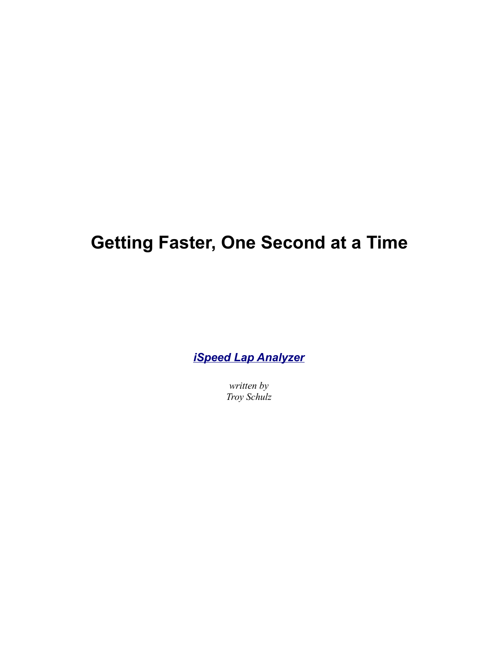# **Getting Faster, One Second at a Time**

*[iSpeed Lap Analyzer](http://www.nessoft.com/ispeed)*

*written by Troy Schulz*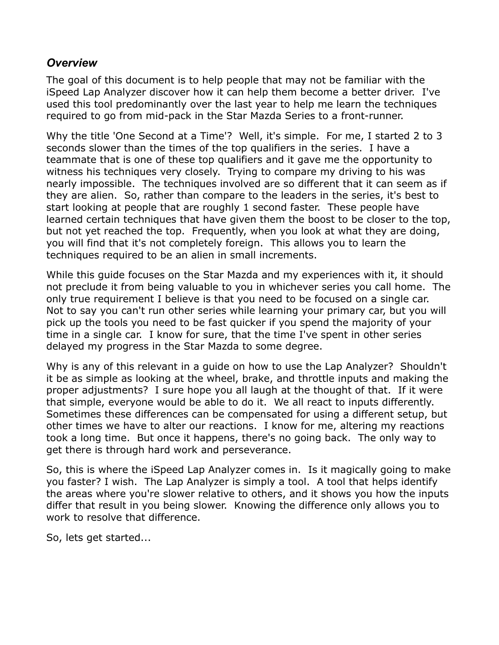# *Overview*

The goal of this document is to help people that may not be familiar with the iSpeed Lap Analyzer discover how it can help them become a better driver. I've used this tool predominantly over the last year to help me learn the techniques required to go from mid-pack in the Star Mazda Series to a front-runner.

Why the title 'One Second at a Time'? Well, it's simple. For me, I started 2 to 3 seconds slower than the times of the top qualifiers in the series. I have a teammate that is one of these top qualifiers and it gave me the opportunity to witness his techniques very closely. Trying to compare my driving to his was nearly impossible. The techniques involved are so different that it can seem as if they are alien. So, rather than compare to the leaders in the series, it's best to start looking at people that are roughly 1 second faster. These people have learned certain techniques that have given them the boost to be closer to the top, but not yet reached the top. Frequently, when you look at what they are doing, you will find that it's not completely foreign. This allows you to learn the techniques required to be an alien in small increments.

While this guide focuses on the Star Mazda and my experiences with it, it should not preclude it from being valuable to you in whichever series you call home. The only true requirement I believe is that you need to be focused on a single car. Not to say you can't run other series while learning your primary car, but you will pick up the tools you need to be fast quicker if you spend the majority of your time in a single car. I know for sure, that the time I've spent in other series delayed my progress in the Star Mazda to some degree.

Why is any of this relevant in a guide on how to use the Lap Analyzer? Shouldn't it be as simple as looking at the wheel, brake, and throttle inputs and making the proper adjustments? I sure hope you all laugh at the thought of that. If it were that simple, everyone would be able to do it. We all react to inputs differently. Sometimes these differences can be compensated for using a different setup, but other times we have to alter our reactions. I know for me, altering my reactions took a long time. But once it happens, there's no going back. The only way to get there is through hard work and perseverance.

So, this is where the iSpeed Lap Analyzer comes in. Is it magically going to make you faster? I wish. The Lap Analyzer is simply a tool. A tool that helps identify the areas where you're slower relative to others, and it shows you how the inputs differ that result in you being slower. Knowing the difference only allows you to work to resolve that difference.

So, lets get started...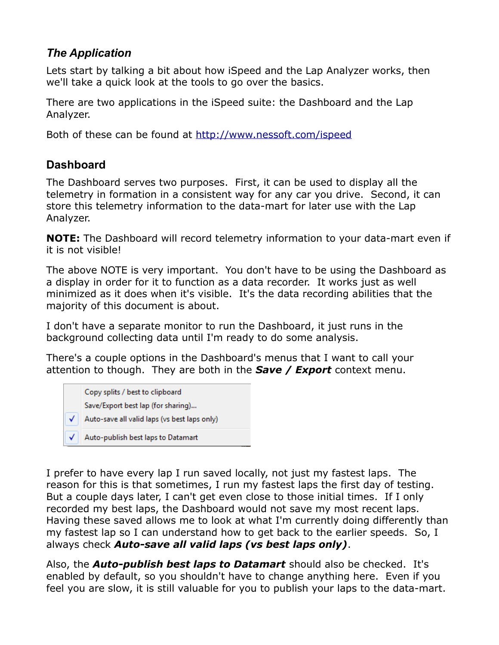# *The Application*

Lets start by talking a bit about how iSpeed and the Lap Analyzer works, then we'll take a quick look at the tools to go over the basics.

There are two applications in the iSpeed suite: the Dashboard and the Lap Analyzer.

Both of these can be found at<http://www.nessoft.com/ispeed>

# **Dashboard**

The Dashboard serves two purposes. First, it can be used to display all the telemetry in formation in a consistent way for any car you drive. Second, it can store this telemetry information to the data-mart for later use with the Lap Analyzer.

**NOTE:** The Dashboard will record telemetry information to your data-mart even if it is not visible!

The above NOTE is very important. You don't have to be using the Dashboard as a display in order for it to function as a data recorder. It works just as well minimized as it does when it's visible. It's the data recording abilities that the majority of this document is about.

I don't have a separate monitor to run the Dashboard, it just runs in the background collecting data until I'm ready to do some analysis.

There's a couple options in the Dashboard's menus that I want to call your attention to though. They are both in the *Save / Export* context menu.



I prefer to have every lap I run saved locally, not just my fastest laps. The reason for this is that sometimes, I run my fastest laps the first day of testing. But a couple days later, I can't get even close to those initial times. If I only recorded my best laps, the Dashboard would not save my most recent laps. Having these saved allows me to look at what I'm currently doing differently than my fastest lap so I can understand how to get back to the earlier speeds. So, I always check *Auto-save all valid laps (vs best laps only)*.

Also, the *Auto-publish best laps to Datamart* should also be checked. It's enabled by default, so you shouldn't have to change anything here. Even if you feel you are slow, it is still valuable for you to publish your laps to the data-mart.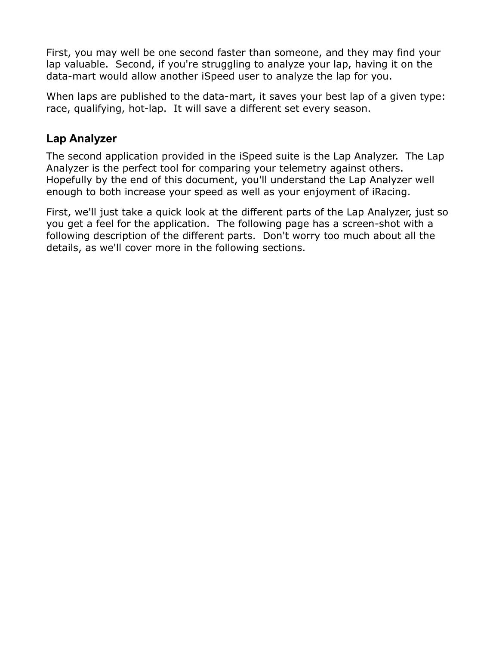First, you may well be one second faster than someone, and they may find your lap valuable. Second, if you're struggling to analyze your lap, having it on the data-mart would allow another iSpeed user to analyze the lap for you.

When laps are published to the data-mart, it saves your best lap of a given type: race, qualifying, hot-lap. It will save a different set every season.

# **Lap Analyzer**

The second application provided in the iSpeed suite is the Lap Analyzer. The Lap Analyzer is the perfect tool for comparing your telemetry against others. Hopefully by the end of this document, you'll understand the Lap Analyzer well enough to both increase your speed as well as your enjoyment of iRacing.

First, we'll just take a quick look at the different parts of the Lap Analyzer, just so you get a feel for the application. The following page has a screen-shot with a following description of the different parts. Don't worry too much about all the details, as we'll cover more in the following sections.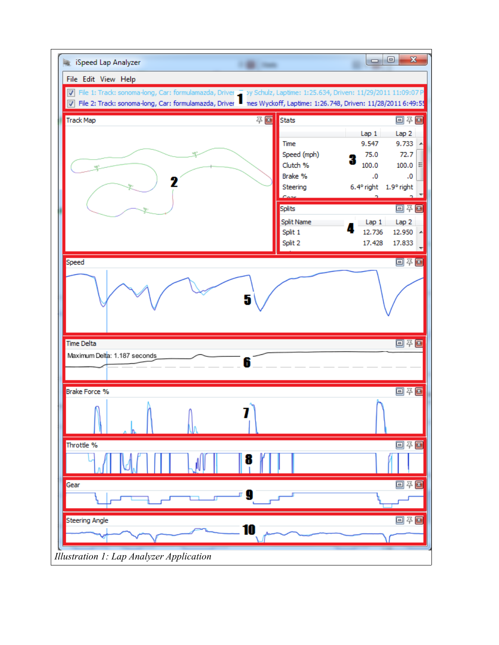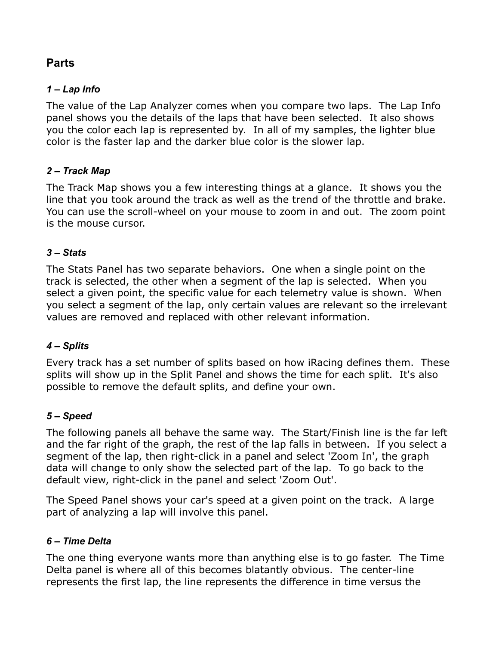# **Parts**

### *1 – Lap Info*

The value of the Lap Analyzer comes when you compare two laps. The Lap Info panel shows you the details of the laps that have been selected. It also shows you the color each lap is represented by. In all of my samples, the lighter blue color is the faster lap and the darker blue color is the slower lap.

# *2 – Track Map*

The Track Map shows you a few interesting things at a glance. It shows you the line that you took around the track as well as the trend of the throttle and brake. You can use the scroll-wheel on your mouse to zoom in and out. The zoom point is the mouse cursor.

### *3 – Stats*

The Stats Panel has two separate behaviors. One when a single point on the track is selected, the other when a segment of the lap is selected. When you select a given point, the specific value for each telemetry value is shown. When you select a segment of the lap, only certain values are relevant so the irrelevant values are removed and replaced with other relevant information.

### *4 – Splits*

Every track has a set number of splits based on how iRacing defines them. These splits will show up in the Split Panel and shows the time for each split. It's also possible to remove the default splits, and define your own.

### *5 – Speed*

The following panels all behave the same way. The Start/Finish line is the far left and the far right of the graph, the rest of the lap falls in between. If you select a segment of the lap, then right-click in a panel and select 'Zoom In', the graph data will change to only show the selected part of the lap. To go back to the default view, right-click in the panel and select 'Zoom Out'.

The Speed Panel shows your car's speed at a given point on the track. A large part of analyzing a lap will involve this panel.

### *6 – Time Delta*

The one thing everyone wants more than anything else is to go faster. The Time Delta panel is where all of this becomes blatantly obvious. The center-line represents the first lap, the line represents the difference in time versus the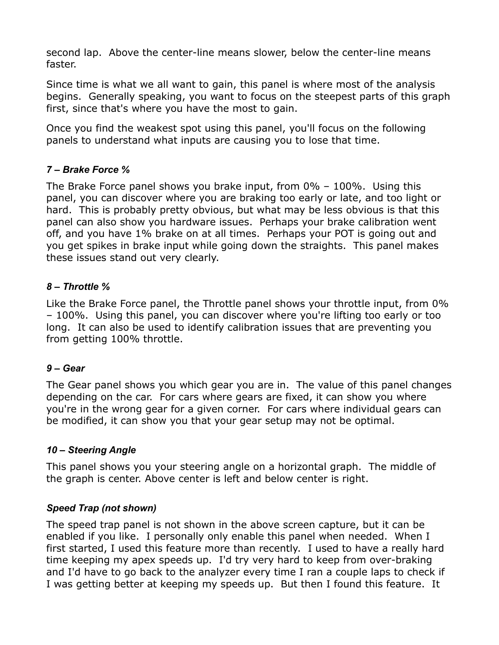second lap. Above the center-line means slower, below the center-line means faster.

Since time is what we all want to gain, this panel is where most of the analysis begins. Generally speaking, you want to focus on the steepest parts of this graph first, since that's where you have the most to gain.

Once you find the weakest spot using this panel, you'll focus on the following panels to understand what inputs are causing you to lose that time.

### *7 – Brake Force %*

The Brake Force panel shows you brake input, from 0% – 100%. Using this panel, you can discover where you are braking too early or late, and too light or hard. This is probably pretty obvious, but what may be less obvious is that this panel can also show you hardware issues. Perhaps your brake calibration went off, and you have 1% brake on at all times. Perhaps your POT is going out and you get spikes in brake input while going down the straights. This panel makes these issues stand out very clearly.

### *8 – Throttle %*

Like the Brake Force panel, the Throttle panel shows your throttle input, from 0% – 100%. Using this panel, you can discover where you're lifting too early or too long. It can also be used to identify calibration issues that are preventing you from getting 100% throttle.

### *9 – Gear*

The Gear panel shows you which gear you are in. The value of this panel changes depending on the car. For cars where gears are fixed, it can show you where you're in the wrong gear for a given corner. For cars where individual gears can be modified, it can show you that your gear setup may not be optimal.

# *10 – Steering Angle*

This panel shows you your steering angle on a horizontal graph. The middle of the graph is center. Above center is left and below center is right.

### *Speed Trap (not shown)*

The speed trap panel is not shown in the above screen capture, but it can be enabled if you like. I personally only enable this panel when needed. When I first started, I used this feature more than recently. I used to have a really hard time keeping my apex speeds up. I'd try very hard to keep from over-braking and I'd have to go back to the analyzer every time I ran a couple laps to check if I was getting better at keeping my speeds up. But then I found this feature. It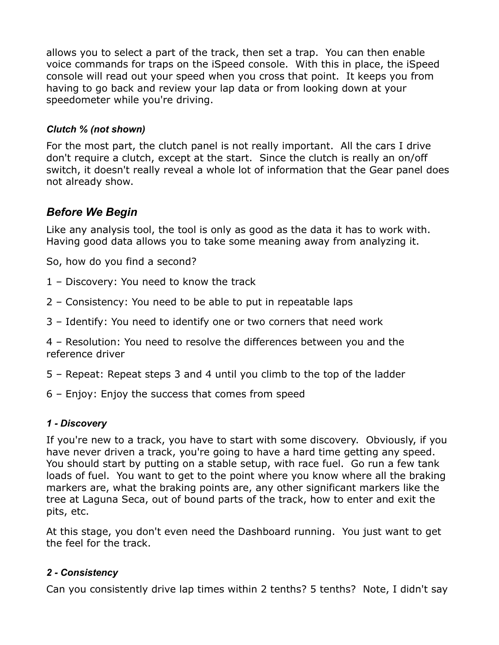allows you to select a part of the track, then set a trap. You can then enable voice commands for traps on the iSpeed console. With this in place, the iSpeed console will read out your speed when you cross that point. It keeps you from having to go back and review your lap data or from looking down at your speedometer while you're driving.

### *Clutch % (not shown)*

For the most part, the clutch panel is not really important. All the cars I drive don't require a clutch, except at the start. Since the clutch is really an on/off switch, it doesn't really reveal a whole lot of information that the Gear panel does not already show.

# *Before We Begin*

Like any analysis tool, the tool is only as good as the data it has to work with. Having good data allows you to take some meaning away from analyzing it.

So, how do you find a second?

- 1 Discovery: You need to know the track
- 2 Consistency: You need to be able to put in repeatable laps
- 3 Identify: You need to identify one or two corners that need work

4 – Resolution: You need to resolve the differences between you and the reference driver

- 5 Repeat: Repeat steps 3 and 4 until you climb to the top of the ladder
- 6 Enjoy: Enjoy the success that comes from speed

# *1 - Discovery*

If you're new to a track, you have to start with some discovery. Obviously, if you have never driven a track, you're going to have a hard time getting any speed. You should start by putting on a stable setup, with race fuel. Go run a few tank loads of fuel. You want to get to the point where you know where all the braking markers are, what the braking points are, any other significant markers like the tree at Laguna Seca, out of bound parts of the track, how to enter and exit the pits, etc.

At this stage, you don't even need the Dashboard running. You just want to get the feel for the track.

# *2 - Consistency*

Can you consistently drive lap times within 2 tenths? 5 tenths? Note, I didn't say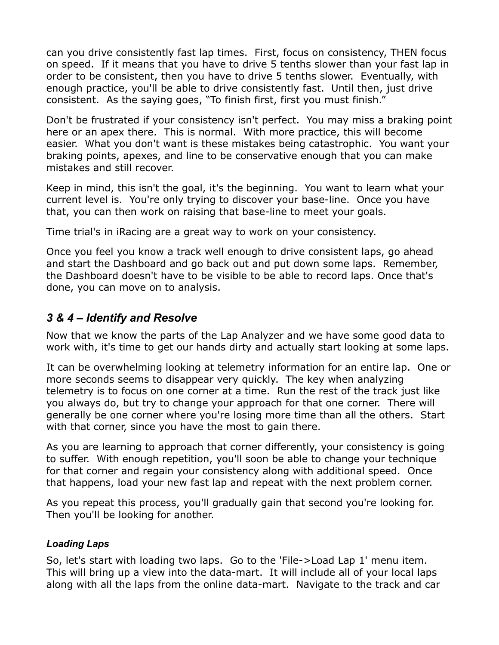can you drive consistently fast lap times. First, focus on consistency, THEN focus on speed. If it means that you have to drive 5 tenths slower than your fast lap in order to be consistent, then you have to drive 5 tenths slower. Eventually, with enough practice, you'll be able to drive consistently fast. Until then, just drive consistent. As the saying goes, "To finish first, first you must finish."

Don't be frustrated if your consistency isn't perfect. You may miss a braking point here or an apex there. This is normal. With more practice, this will become easier. What you don't want is these mistakes being catastrophic. You want your braking points, apexes, and line to be conservative enough that you can make mistakes and still recover.

Keep in mind, this isn't the goal, it's the beginning. You want to learn what your current level is. You're only trying to discover your base-line. Once you have that, you can then work on raising that base-line to meet your goals.

Time trial's in iRacing are a great way to work on your consistency.

Once you feel you know a track well enough to drive consistent laps, go ahead and start the Dashboard and go back out and put down some laps. Remember, the Dashboard doesn't have to be visible to be able to record laps. Once that's done, you can move on to analysis.

# *3 & 4 – Identify and Resolve*

Now that we know the parts of the Lap Analyzer and we have some good data to work with, it's time to get our hands dirty and actually start looking at some laps.

It can be overwhelming looking at telemetry information for an entire lap. One or more seconds seems to disappear very quickly. The key when analyzing telemetry is to focus on one corner at a time. Run the rest of the track just like you always do, but try to change your approach for that one corner. There will generally be one corner where you're losing more time than all the others. Start with that corner, since you have the most to gain there.

As you are learning to approach that corner differently, your consistency is going to suffer. With enough repetition, you'll soon be able to change your technique for that corner and regain your consistency along with additional speed. Once that happens, load your new fast lap and repeat with the next problem corner.

As you repeat this process, you'll gradually gain that second you're looking for. Then you'll be looking for another.

### *Loading Laps*

So, let's start with loading two laps. Go to the 'File->Load Lap 1' menu item. This will bring up a view into the data-mart. It will include all of your local laps along with all the laps from the online data-mart. Navigate to the track and car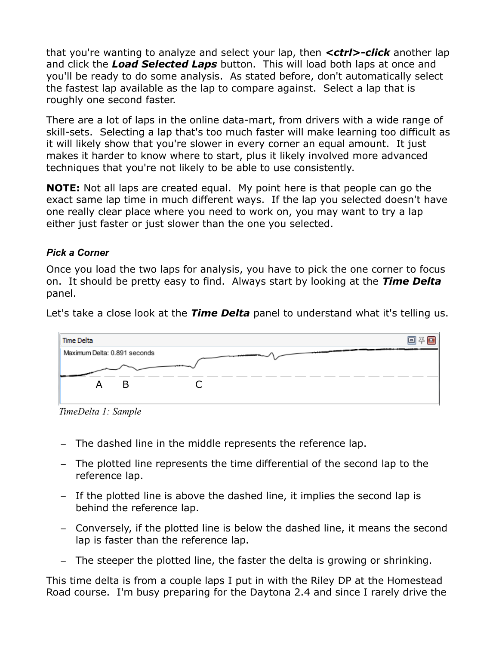that you're wanting to analyze and select your lap, then *<ctrl>-click* another lap and click the *Load Selected Laps* button. This will load both laps at once and you'll be ready to do some analysis. As stated before, don't automatically select the fastest lap available as the lap to compare against. Select a lap that is roughly one second faster.

There are a lot of laps in the online data-mart, from drivers with a wide range of skill-sets. Selecting a lap that's too much faster will make learning too difficult as it will likely show that you're slower in every corner an equal amount. It just makes it harder to know where to start, plus it likely involved more advanced techniques that you're not likely to be able to use consistently.

**NOTE:** Not all laps are created equal. My point here is that people can go the exact same lap time in much different ways. If the lap you selected doesn't have one really clear place where you need to work on, you may want to try a lap either just faster or just slower than the one you selected.

### *Pick a Corner*

Once you load the two laps for analysis, you have to pick the one corner to focus on. It should be pretty easy to find. Always start by looking at the *Time Delta* panel.

Let's take a close look at the *Time Delta* panel to understand what it's telling us.



*TimeDelta 1: Sample*

- The dashed line in the middle represents the reference lap.
- The plotted line represents the time differential of the second lap to the reference lap.
- If the plotted line is above the dashed line, it implies the second lap is behind the reference lap.
- Conversely, if the plotted line is below the dashed line, it means the second lap is faster than the reference lap.
- The steeper the plotted line, the faster the delta is growing or shrinking.

This time delta is from a couple laps I put in with the Riley DP at the Homestead Road course. I'm busy preparing for the Daytona 2.4 and since I rarely drive the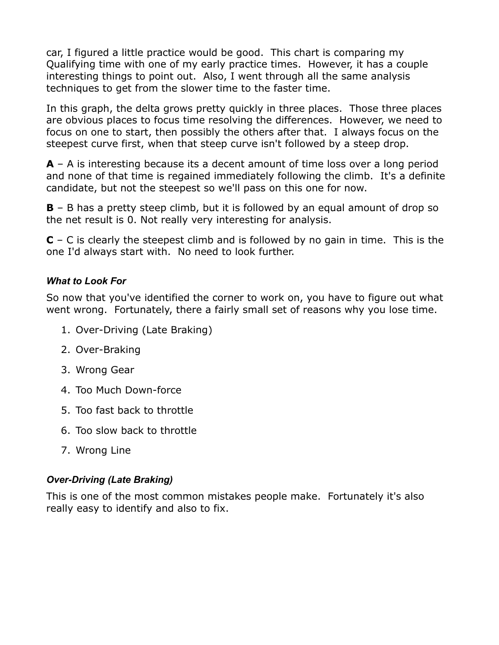car, I figured a little practice would be good. This chart is comparing my Qualifying time with one of my early practice times. However, it has a couple interesting things to point out. Also, I went through all the same analysis techniques to get from the slower time to the faster time.

In this graph, the delta grows pretty quickly in three places. Those three places are obvious places to focus time resolving the differences. However, we need to focus on one to start, then possibly the others after that. I always focus on the steepest curve first, when that steep curve isn't followed by a steep drop.

**A** – A is interesting because its a decent amount of time loss over a long period and none of that time is regained immediately following the climb. It's a definite candidate, but not the steepest so we'll pass on this one for now.

**B** – B has a pretty steep climb, but it is followed by an equal amount of drop so the net result is 0. Not really very interesting for analysis.

**C** – C is clearly the steepest climb and is followed by no gain in time. This is the one I'd always start with. No need to look further.

### *What to Look For*

So now that you've identified the corner to work on, you have to figure out what went wrong. Fortunately, there a fairly small set of reasons why you lose time.

- 1. Over-Driving (Late Braking)
- 2. Over-Braking
- 3. Wrong Gear
- 4. Too Much Down-force
- 5. Too fast back to throttle
- 6. Too slow back to throttle
- 7. Wrong Line

### *Over-Driving (Late Braking)*

This is one of the most common mistakes people make. Fortunately it's also really easy to identify and also to fix.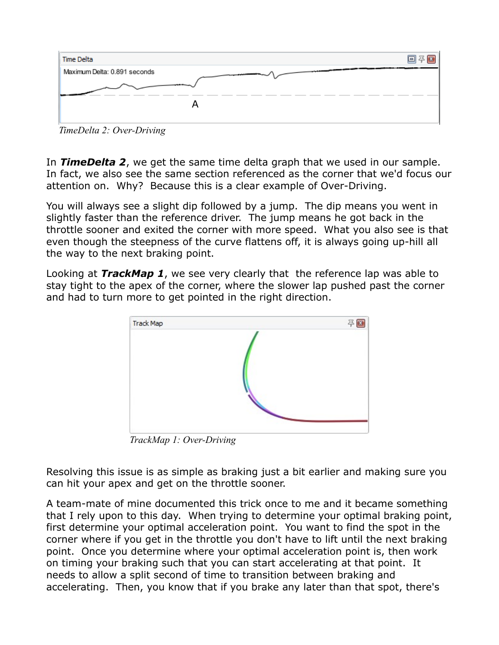

*TimeDelta 2: Over-Driving*

In *TimeDelta 2*, we get the same time delta graph that we used in our sample. In fact, we also see the same section referenced as the corner that we'd focus our attention on. Why? Because this is a clear example of Over-Driving.

You will always see a slight dip followed by a jump. The dip means you went in slightly faster than the reference driver. The jump means he got back in the throttle sooner and exited the corner with more speed. What you also see is that even though the steepness of the curve flattens off, it is always going up-hill all the way to the next braking point.

Looking at *TrackMap 1*, we see very clearly that the reference lap was able to stay tight to the apex of the corner, where the slower lap pushed past the corner and had to turn more to get pointed in the right direction.



*TrackMap 1: Over-Driving*

Resolving this issue is as simple as braking just a bit earlier and making sure you can hit your apex and get on the throttle sooner.

A team-mate of mine documented this trick once to me and it became something that I rely upon to this day. When trying to determine your optimal braking point, first determine your optimal acceleration point. You want to find the spot in the corner where if you get in the throttle you don't have to lift until the next braking point. Once you determine where your optimal acceleration point is, then work on timing your braking such that you can start accelerating at that point. It needs to allow a split second of time to transition between braking and accelerating. Then, you know that if you brake any later than that spot, there's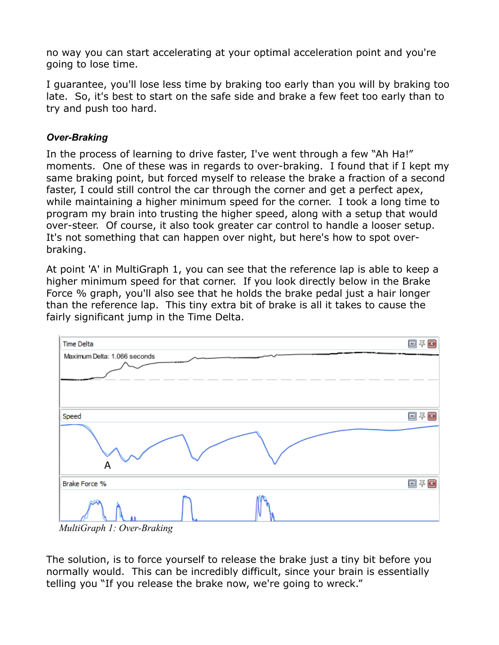no way you can start accelerating at your optimal acceleration point and you're going to lose time.

I guarantee, you'll lose less time by braking too early than you will by braking too late. So, it's best to start on the safe side and brake a few feet too early than to try and push too hard.

### *Over-Braking*

In the process of learning to drive faster, I've went through a few "Ah Ha!" moments. One of these was in regards to over-braking. I found that if I kept my same braking point, but forced myself to release the brake a fraction of a second faster, I could still control the car through the corner and get a perfect apex, while maintaining a higher minimum speed for the corner. I took a long time to program my brain into trusting the higher speed, along with a setup that would over-steer. Of course, it also took greater car control to handle a looser setup. It's not something that can happen over night, but here's how to spot overbraking.

At point 'A' in MultiGraph 1, you can see that the reference lap is able to keep a higher minimum speed for that corner. If you look directly below in the Brake Force % graph, you'll also see that he holds the brake pedal just a hair longer than the reference lap. This tiny extra bit of brake is all it takes to cause the fairly significant jump in the Time Delta.



*MultiGraph 1: Over-Braking*

The solution, is to force yourself to release the brake just a tiny bit before you normally would. This can be incredibly difficult, since your brain is essentially telling you "If you release the brake now, we're going to wreck."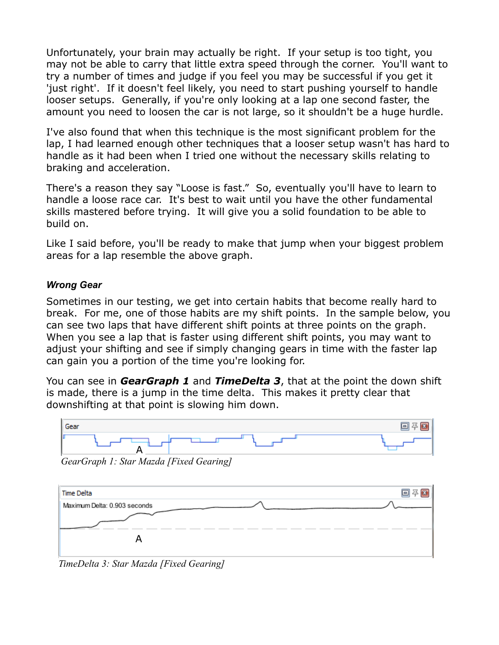Unfortunately, your brain may actually be right. If your setup is too tight, you may not be able to carry that little extra speed through the corner. You'll want to try a number of times and judge if you feel you may be successful if you get it 'just right'. If it doesn't feel likely, you need to start pushing yourself to handle looser setups. Generally, if you're only looking at a lap one second faster, the amount you need to loosen the car is not large, so it shouldn't be a huge hurdle.

I've also found that when this technique is the most significant problem for the lap, I had learned enough other techniques that a looser setup wasn't has hard to handle as it had been when I tried one without the necessary skills relating to braking and acceleration.

There's a reason they say "Loose is fast." So, eventually you'll have to learn to handle a loose race car. It's best to wait until you have the other fundamental skills mastered before trying. It will give you a solid foundation to be able to build on.

Like I said before, you'll be ready to make that jump when your biggest problem areas for a lap resemble the above graph.

### *Wrong Gear*

Sometimes in our testing, we get into certain habits that become really hard to break. For me, one of those habits are my shift points. In the sample below, you can see two laps that have different shift points at three points on the graph. When you see a lap that is faster using different shift points, you may want to adjust your shifting and see if simply changing gears in time with the faster lap can gain you a portion of the time you're looking for.

You can see in *GearGraph 1* and *TimeDelta 3*, that at the point the down shift is made, there is a jump in the time delta. This makes it pretty clear that downshifting at that point is slowing him down.



*GearGraph 1: Star Mazda [Fixed Gearing]*



*TimeDelta 3: Star Mazda [Fixed Gearing]*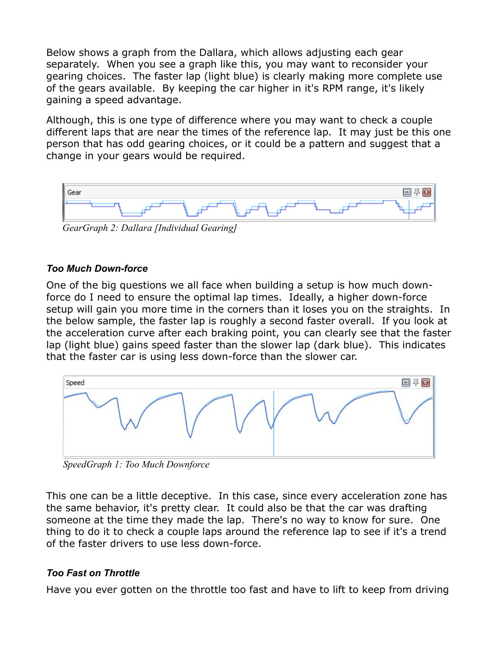Below shows a graph from the Dallara, which allows adjusting each gear separately. When you see a graph like this, you may want to reconsider your gearing choices. The faster lap (light blue) is clearly making more complete use of the gears available. By keeping the car higher in it's RPM range, it's likely gaining a speed advantage.

Although, this is one type of difference where you may want to check a couple different laps that are near the times of the reference lap. It may just be this one person that has odd gearing choices, or it could be a pattern and suggest that a change in your gears would be required.



*GearGraph 2: Dallara [Individual Gearing]*

### *Too Much Down-force*

One of the big questions we all face when building a setup is how much downforce do I need to ensure the optimal lap times. Ideally, a higher down-force setup will gain you more time in the corners than it loses you on the straights. In the below sample, the faster lap is roughly a second faster overall. If you look at the acceleration curve after each braking point, you can clearly see that the faster lap (light blue) gains speed faster than the slower lap (dark blue). This indicates that the faster car is using less down-force than the slower car.



*SpeedGraph 1: Too Much Downforce*

This one can be a little deceptive. In this case, since every acceleration zone has the same behavior, it's pretty clear. It could also be that the car was drafting someone at the time they made the lap. There's no way to know for sure. One thing to do it to check a couple laps around the reference lap to see if it's a trend of the faster drivers to use less down-force.

# *Too Fast on Throttle*

Have you ever gotten on the throttle too fast and have to lift to keep from driving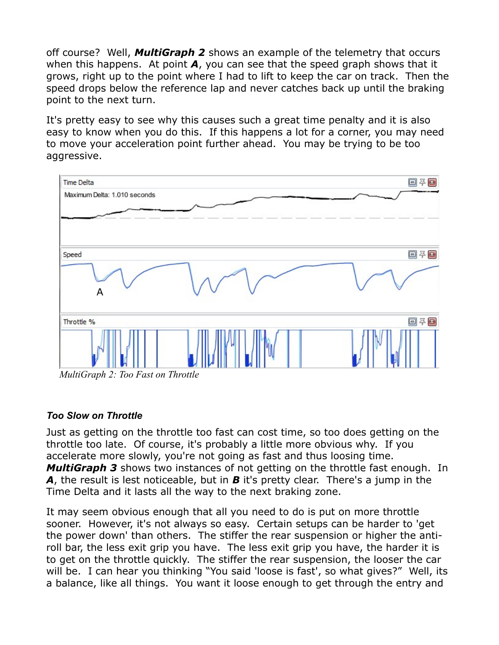off course? Well, *MultiGraph 2* shows an example of the telemetry that occurs when this happens. At point *A*, you can see that the speed graph shows that it grows, right up to the point where I had to lift to keep the car on track. Then the speed drops below the reference lap and never catches back up until the braking point to the next turn.

It's pretty easy to see why this causes such a great time penalty and it is also easy to know when you do this. If this happens a lot for a corner, you may need to move your acceleration point further ahead. You may be trying to be too aggressive.



*MultiGraph 2: Too Fast on Throttle*

### *Too Slow on Throttle*

Just as getting on the throttle too fast can cost time, so too does getting on the throttle too late. Of course, it's probably a little more obvious why. If you accelerate more slowly, you're not going as fast and thus loosing time. *MultiGraph 3* shows two instances of not getting on the throttle fast enough. In *A*, the result is lest noticeable, but in *B* it's pretty clear. There's a jump in the Time Delta and it lasts all the way to the next braking zone.

It may seem obvious enough that all you need to do is put on more throttle sooner. However, it's not always so easy. Certain setups can be harder to 'get the power down' than others. The stiffer the rear suspension or higher the antiroll bar, the less exit grip you have. The less exit grip you have, the harder it is to get on the throttle quickly. The stiffer the rear suspension, the looser the car will be. I can hear you thinking "You said 'loose is fast', so what gives?" Well, its a balance, like all things. You want it loose enough to get through the entry and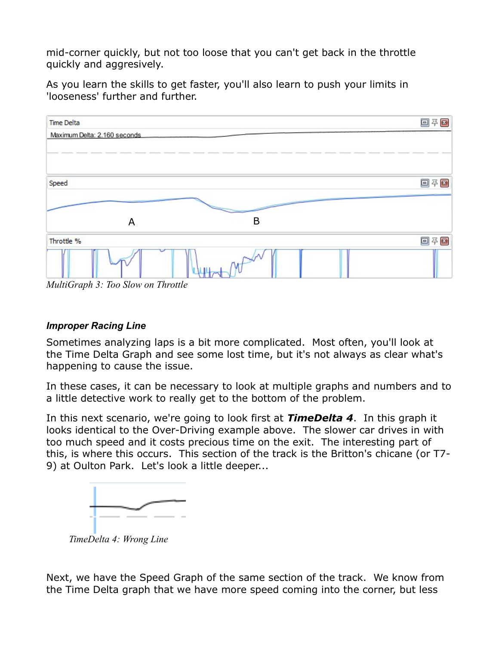mid-corner quickly, but not too loose that you can't get back in the throttle quickly and aggresively.

As you learn the skills to get faster, you'll also learn to push your limits in 'looseness' further and further.



*MultiGraph 3: Too Slow on Throttle*

### *Improper Racing Line*

Sometimes analyzing laps is a bit more complicated. Most often, you'll look at the Time Delta Graph and see some lost time, but it's not always as clear what's happening to cause the issue.

In these cases, it can be necessary to look at multiple graphs and numbers and to a little detective work to really get to the bottom of the problem.

In this next scenario, we're going to look first at *TimeDelta 4*. In this graph it looks identical to the Over-Driving example above. The slower car drives in with too much speed and it costs precious time on the exit. The interesting part of this, is where this occurs. This section of the track is the Britton's chicane (or T7- 9) at Oulton Park. Let's look a little deeper...



Next, we have the Speed Graph of the same section of the track. We know from the Time Delta graph that we have more speed coming into the corner, but less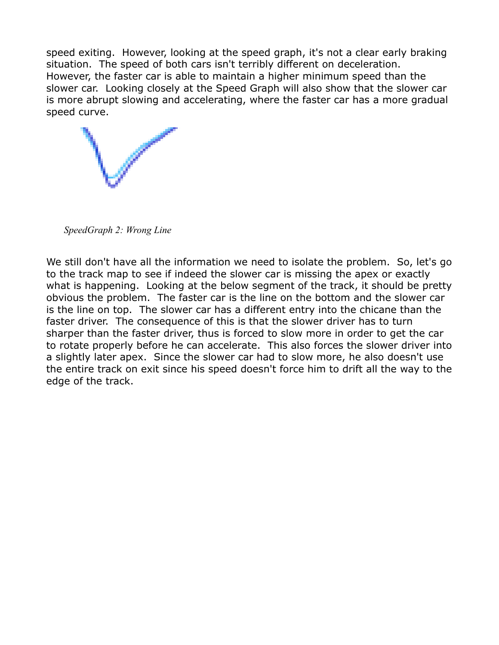speed exiting. However, looking at the speed graph, it's not a clear early braking situation. The speed of both cars isn't terribly different on deceleration. However, the faster car is able to maintain a higher minimum speed than the slower car. Looking closely at the Speed Graph will also show that the slower car is more abrupt slowing and accelerating, where the faster car has a more gradual speed curve.



*SpeedGraph 2: Wrong Line*

We still don't have all the information we need to isolate the problem. So, let's go to the track map to see if indeed the slower car is missing the apex or exactly what is happening. Looking at the below segment of the track, it should be pretty obvious the problem. The faster car is the line on the bottom and the slower car is the line on top. The slower car has a different entry into the chicane than the faster driver. The consequence of this is that the slower driver has to turn sharper than the faster driver, thus is forced to slow more in order to get the car to rotate properly before he can accelerate. This also forces the slower driver into a slightly later apex. Since the slower car had to slow more, he also doesn't use the entire track on exit since his speed doesn't force him to drift all the way to the edge of the track.